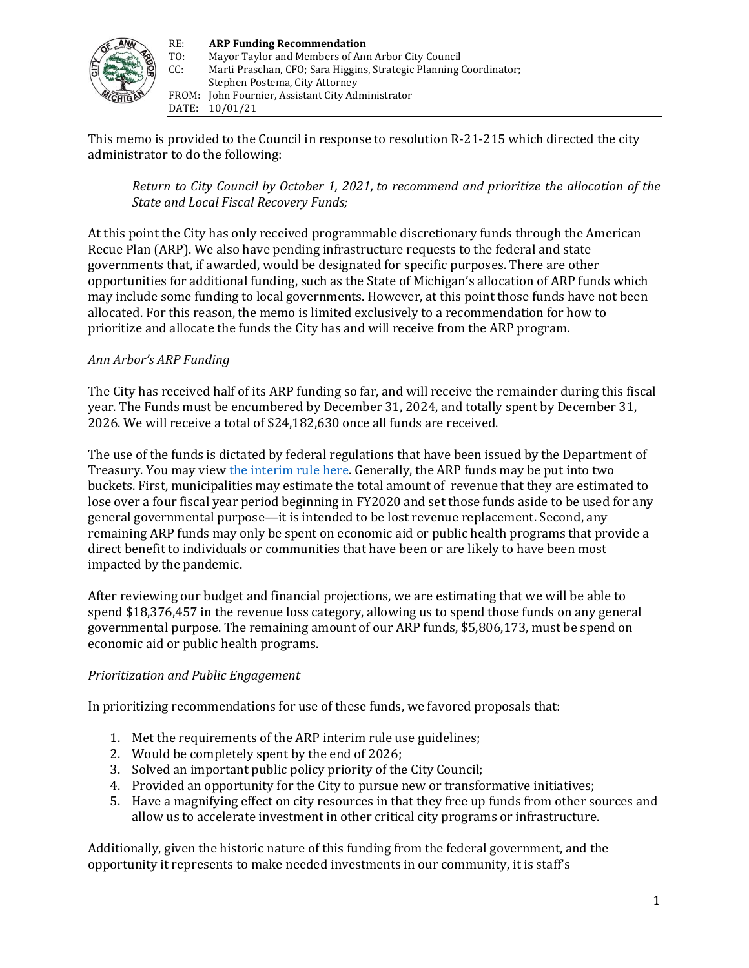

This memo is provided to the Council in response to resolution R-21-215 which directed the city administrator to do the following:

*Return to City Council by October 1, 2021, to recommend and prioritize the allocation of the State and Local Fiscal Recovery Funds;*

At this point the City has only received programmable discretionary funds through the American Recue Plan (ARP). We also have pending infrastructure requests to the federal and state governments that, if awarded, would be designated for specific purposes. There are other opportunities for additional funding, such as the State of Michigan's allocation of ARP funds which may include some funding to local governments. However, at this point those funds have not been allocated. For this reason, the memo is limited exclusively to a recommendation for how to prioritize and allocate the funds the City has and will receive from the ARP program.

# *Ann Arbor's ARP Funding*

The City has received half of its ARP funding so far, and will receive the remainder during this fiscal year. The Funds must be encumbered by December 31, 2024, and totally spent by December 31, 2026. We will receive a total of \$24,182,630 once all funds are received.

The use of the funds is dictated by federal regulations that have been issued by the Department of Treasury. You may view [the interim rule here.](https://home.treasury.gov/system/files/136/FRF-Interim-Final-Rule.pdf) Generally, the ARP funds may be put into two buckets. First, municipalities may estimate the total amount of revenue that they are estimated to lose over a four fiscal year period beginning in FY2020 and set those funds aside to be used for any general governmental purpose—it is intended to be lost revenue replacement. Second, any remaining ARP funds may only be spent on economic aid or public health programs that provide a direct benefit to individuals or communities that have been or are likely to have been most impacted by the pandemic.

After reviewing our budget and financial projections, we are estimating that we will be able to spend \$18,376,457 in the revenue loss category, allowing us to spend those funds on any general governmental purpose. The remaining amount of our ARP funds, \$5,806,173, must be spend on economic aid or public health programs.

### *Prioritization and Public Engagement*

In prioritizing recommendations for use of these funds, we favored proposals that:

- 1. Met the requirements of the ARP interim rule use guidelines;
- 2. Would be completely spent by the end of 2026;
- 3. Solved an important public policy priority of the City Council;
- 4. Provided an opportunity for the City to pursue new or transformative initiatives;
- 5. Have a magnifying effect on city resources in that they free up funds from other sources and allow us to accelerate investment in other critical city programs or infrastructure.

Additionally, given the historic nature of this funding from the federal government, and the opportunity it represents to make needed investments in our community, it is staff's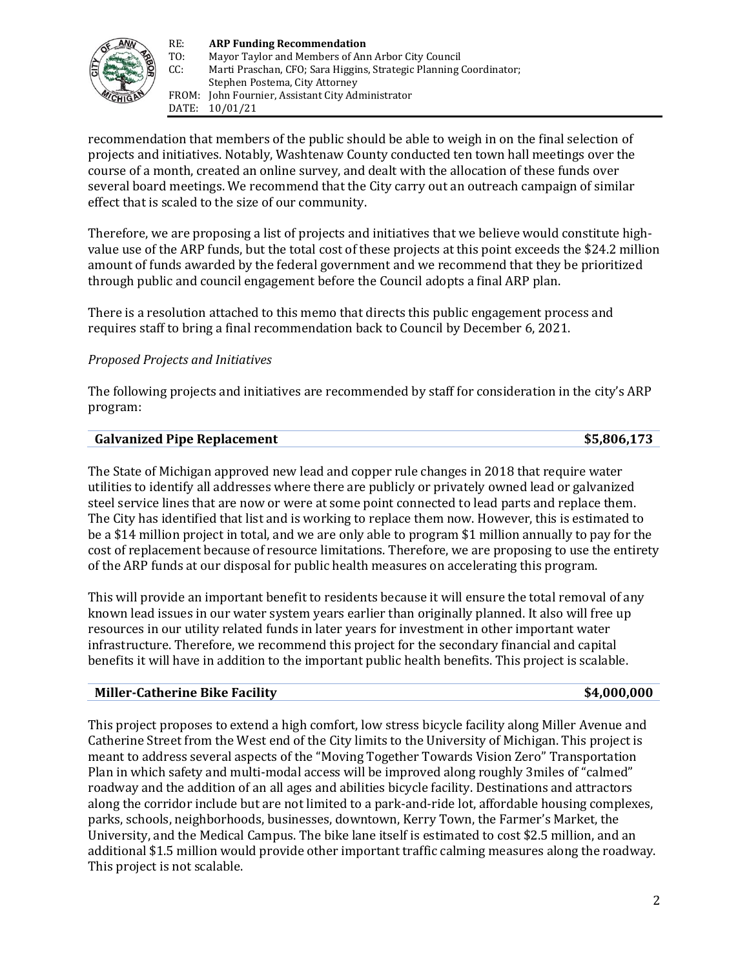

recommendation that members of the public should be able to weigh in on the final selection of projects and initiatives. Notably, Washtenaw County conducted ten town hall meetings over the course of a month, created an online survey, and dealt with the allocation of these funds over several board meetings. We recommend that the City carry out an outreach campaign of similar effect that is scaled to the size of our community.

Therefore, we are proposing a list of projects and initiatives that we believe would constitute highvalue use of the ARP funds, but the total cost of these projects at this point exceeds the \$24.2 million amount of funds awarded by the federal government and we recommend that they be prioritized through public and council engagement before the Council adopts a final ARP plan.

There is a resolution attached to this memo that directs this public engagement process and requires staff to bring a final recommendation back to Council by December 6, 2021.

# *Proposed Projects and Initiatives*

The following projects and initiatives are recommended by staff for consideration in the city's ARP program:

#### **Galvanized Pipe Replacement \$5,806,173**

The State of Michigan approved new lead and copper rule changes in 2018 that require water utilities to identify all addresses where there are publicly or privately owned lead or galvanized steel service lines that are now or were at some point connected to lead parts and replace them. The City has identified that list and is working to replace them now. However, this is estimated to be a \$14 million project in total, and we are only able to program \$1 million annually to pay for the cost of replacement because of resource limitations. Therefore, we are proposing to use the entirety of the ARP funds at our disposal for public health measures on accelerating this program.

This will provide an important benefit to residents because it will ensure the total removal of any known lead issues in our water system years earlier than originally planned. It also will free up resources in our utility related funds in later years for investment in other important water infrastructure. Therefore, we recommend this project for the secondary financial and capital benefits it will have in addition to the important public health benefits. This project is scalable.

### **Miller-Catherine Bike Facility \$4,000,000**

This project proposes to extend a high comfort, low stress bicycle facility along Miller Avenue and Catherine Street from the West end of the City limits to the University of Michigan. This project is meant to address several aspects of the "Moving Together Towards Vision Zero" Transportation Plan in which safety and multi-modal access will be improved along roughly 3miles of "calmed" roadway and the addition of an all ages and abilities bicycle facility. Destinations and attractors along the corridor include but are not limited to a park-and-ride lot, affordable housing complexes, parks, schools, neighborhoods, businesses, downtown, Kerry Town, the Farmer's Market, the University, and the Medical Campus. The bike lane itself is estimated to cost \$2.5 million, and an additional \$1.5 million would provide other important traffic calming measures along the roadway. This project is not scalable.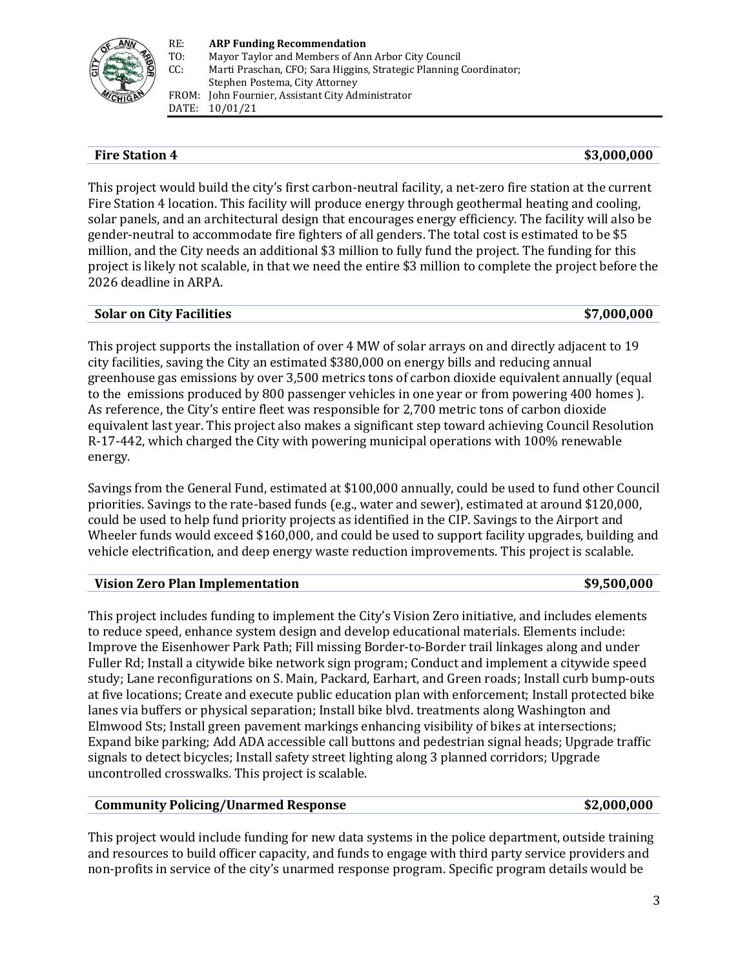

## **Fire Station 4 83,000,000**

This project would build the city's first carbon-neutral facility, a net-zero fire station at the current Fire Station 4 location. This facility will produce energy through geothermal heating and cooling, solar panels, and an architectural design that encourages energy efficiency. The facility will also be gender-neutral to accommodate fire fighters of all genders. The total cost is estimated to be \$5 million, and the City needs an additional \$3 million to fully fund the project. The funding for this project is likely not scalable, in that we need the entire \$3 million to complete the project before the 2026 deadline in ARPA.

### **Solar on City Facilities \$7,000,000**

This project supports the installation of over 4 MW of solar arrays on and directly adjacent to 19 city facilities, saving the City an estimated \$380,000 on energy bills and reducing annual greenhouse gas emissions by over 3,500 metrics tons of carbon dioxide equivalent annually (equal to the emissions produced by 800 passenger vehicles in one year or from powering 400 homes ). As reference, the City's entire fleet was responsible for 2,700 metric tons of carbon dioxide equivalent last year. This project also makes a significant step toward achieving Council Resolution R-17-442, which charged the City with powering municipal operations with 100% renewable energy.

Savings from the General Fund, estimated at \$100,000 annually, could be used to fund other Council priorities. Savings to the rate-based funds (e.g., water and sewer), estimated at around \$120,000, could be used to help fund priority projects as identified in the CIP. Savings to the Airport and Wheeler funds would exceed \$160,000, and could be used to support facility upgrades, building and vehicle electrification, and deep energy waste reduction improvements. This project is scalable.

# **Vision Zero Plan Implementation 59,500,000**

This project includes funding to implement the City's Vision Zero initiative, and includes elements to reduce speed, enhance system design and develop educational materials. Elements include: Improve the Eisenhower Park Path; Fill missing Border-to-Border trail linkages along and under Fuller Rd; Install a citywide bike network sign program; Conduct and implement a citywide speed study; Lane reconfigurations on S. Main, Packard, Earhart, and Green roads; Install curb bump-outs at five locations; Create and execute public education plan with enforcement; Install protected bike lanes via buffers or physical separation; Install bike blvd. treatments along Washington and Elmwood Sts; Install green pavement markings enhancing visibility of bikes at intersections; Expand bike parking; Add ADA accessible call buttons and pedestrian signal heads; Upgrade traffic signals to detect bicycles; Install safety street lighting along 3 planned corridors; Upgrade uncontrolled crosswalks. This project is scalable.

### **Community Policing/Unarmed Response \$2,000,000**

This project would include funding for new data systems in the police department, outside training and resources to build officer capacity, and funds to engage with third party service providers and non-profits in service of the city's unarmed response program. Specific program details would be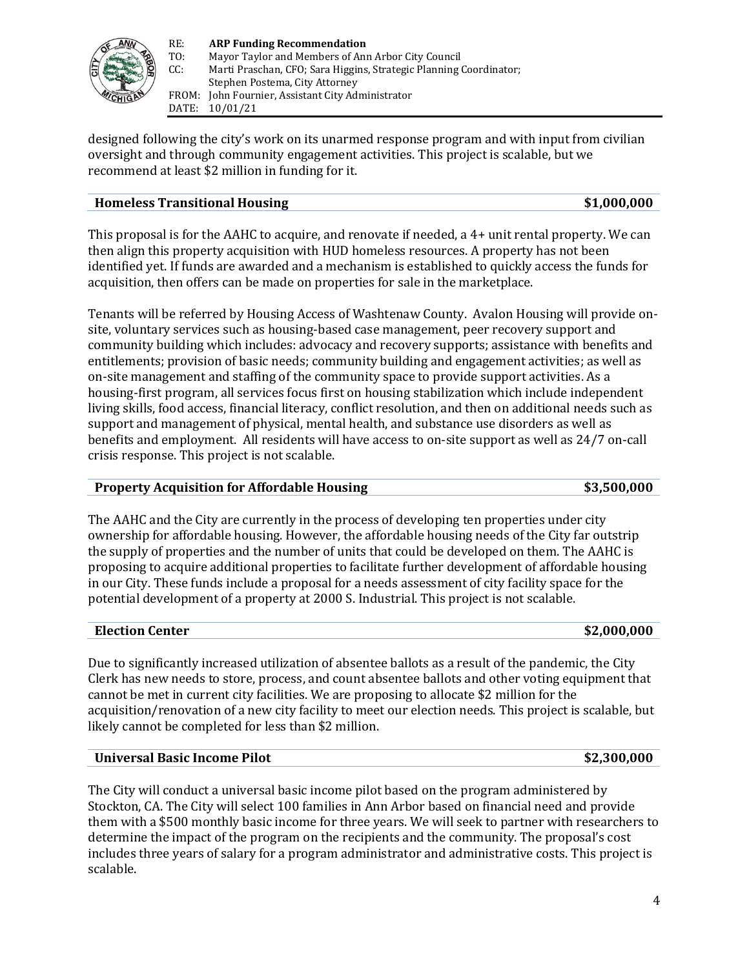

designed following the city's work on its unarmed response program and with input from civilian oversight and through community engagement activities. This project is scalable, but we recommend at least \$2 million in funding for it.

## **Homeless Transitional Housing \$1,000,000**

This proposal is for the AAHC to acquire, and renovate if needed, a 4+ unit rental property. We can then align this property acquisition with HUD homeless resources. A property has not been identified yet. If funds are awarded and a mechanism is established to quickly access the funds for acquisition, then offers can be made on properties for sale in the marketplace.

Tenants will be referred by Housing Access of Washtenaw County. Avalon Housing will provide onsite, voluntary services such as housing-based case management, peer recovery support and community building which includes: advocacy and recovery supports; assistance with benefits and entitlements; provision of basic needs; community building and engagement activities; as well as on-site management and staffing of the community space to provide support activities. As a housing-first program, all services focus first on housing stabilization which include independent living skills, food access, financial literacy, conflict resolution, and then on additional needs such as support and management of physical, mental health, and substance use disorders as well as benefits and employment. All residents will have access to on-site support as well as 24/7 on-call crisis response. This project is not scalable.

# **Property Acquisition for Affordable Housing \$3,500,000**

The AAHC and the City are currently in the process of developing ten properties under city ownership for affordable housing. However, the affordable housing needs of the City far outstrip the supply of properties and the number of units that could be developed on them. The AAHC is proposing to acquire additional properties to facilitate further development of affordable housing in our City. These funds include a proposal for a needs assessment of city facility space for the potential development of a property at 2000 S. Industrial. This project is not scalable.

### **Election Center \$2,000,000**

Due to significantly increased utilization of absentee ballots as a result of the pandemic, the City Clerk has new needs to store, process, and count absentee ballots and other voting equipment that cannot be met in current city facilities. We are proposing to allocate \$2 million for the acquisition/renovation of a new city facility to meet our election needs. This project is scalable, but likely cannot be completed for less than \$2 million.

### **Universal Basic Income Pilot \$2,300,000**

The City will conduct a universal basic income pilot based on the program administered by Stockton, CA. The City will select 100 families in Ann Arbor based on financial need and provide them with a \$500 monthly basic income for three years. We will seek to partner with researchers to determine the impact of the program on the recipients and the community. The proposal's cost includes three years of salary for a program administrator and administrative costs. This project is scalable.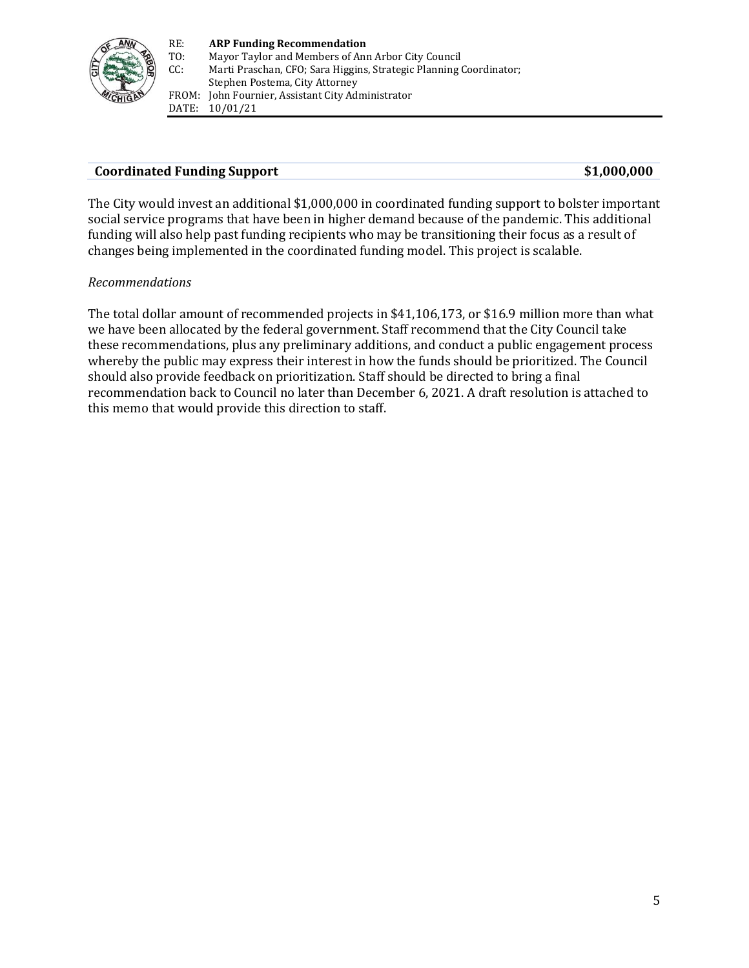

## **Coordinated Funding Support \$1,000,000**

The City would invest an additional \$1,000,000 in coordinated funding support to bolster important social service programs that have been in higher demand because of the pandemic. This additional funding will also help past funding recipients who may be transitioning their focus as a result of changes being implemented in the coordinated funding model. This project is scalable.

## *Recommendations*

The total dollar amount of recommended projects in \$41,106,173, or \$16.9 million more than what we have been allocated by the federal government. Staff recommend that the City Council take these recommendations, plus any preliminary additions, and conduct a public engagement process whereby the public may express their interest in how the funds should be prioritized. The Council should also provide feedback on prioritization. Staff should be directed to bring a final recommendation back to Council no later than December 6, 2021. A draft resolution is attached to this memo that would provide this direction to staff.